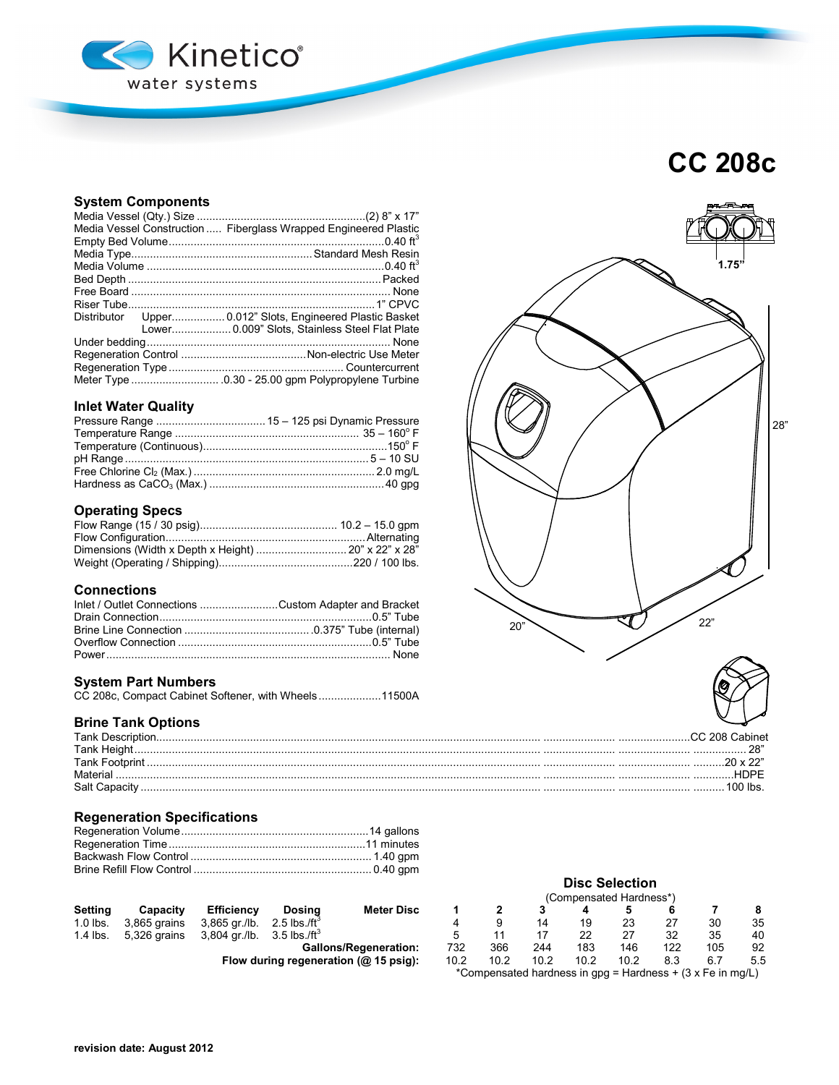

# **CC 208c**

# **System Components**

|  | Media Vessel Construction  Fiberglass Wrapped Engineered Plastic |  |  |  |  |  |
|--|------------------------------------------------------------------|--|--|--|--|--|
|  |                                                                  |  |  |  |  |  |
|  |                                                                  |  |  |  |  |  |
|  |                                                                  |  |  |  |  |  |
|  |                                                                  |  |  |  |  |  |
|  |                                                                  |  |  |  |  |  |
|  |                                                                  |  |  |  |  |  |
|  | Distributor Upper 0.012" Slots, Engineered Plastic Basket        |  |  |  |  |  |
|  | Lower 0.009" Slots, Stainless Steel Flat Plate                   |  |  |  |  |  |
|  |                                                                  |  |  |  |  |  |
|  |                                                                  |  |  |  |  |  |
|  |                                                                  |  |  |  |  |  |
|  |                                                                  |  |  |  |  |  |

# **Inlet Water Quality**

# **Operating Specs**

| Dimensions (Width x Depth x Height)  20" x 22" x 28" |  |
|------------------------------------------------------|--|
|                                                      |  |
|                                                      |  |

# **Connections**

| Inlet / Outlet Connections Custom Adapter and Bracket |  |
|-------------------------------------------------------|--|
|                                                       |  |
|                                                       |  |
|                                                       |  |
|                                                       |  |

# **System Part Numbers**

|  |  |  | CC 208c, Compact Cabinet Softener, with Wheels11500A |
|--|--|--|------------------------------------------------------|
|--|--|--|------------------------------------------------------|

# **Brine Tank Options**

| Tank Descrin |  |
|--------------|--|
| Tank         |  |
| Tank         |  |
|              |  |
| Salt Capac   |  |

# **Regeneration Specifications**

|          |                                                         |                   |                              |     |     |     |     | .   |     |    |
|----------|---------------------------------------------------------|-------------------|------------------------------|-----|-----|-----|-----|-----|-----|----|
| Settina  | Capacity                                                | <b>Efficiency</b> | <b>Meter Disc</b><br>Dosina  |     |     |     |     |     |     |    |
| 1.0 lbs. | 3,865 grains $3,865$ gr./lb. $2.5$ lbs./ft <sup>2</sup> |                   |                              |     |     |     | 19  | 23  | 30  | 35 |
| 1.4 lbs. | 5,326 grains $3,804$ gr./lb. $3.5$ lbs./ft <sup>3</sup> |                   |                              |     |     |     | 22. |     | 35  | 40 |
|          |                                                         |                   | <b>Gallons/Regeneration:</b> | 732 | 366 | 244 | 183 | 146 | 105 | 92 |

**Flow during regeneration (@ 15 psig):** 

|                      |                                      | <b>Disc Selection</b>                         |      |      |      |      |     |     |     |
|----------------------|--------------------------------------|-----------------------------------------------|------|------|------|------|-----|-----|-----|
|                      |                                      | (Compensated Hardness*)                       |      |      |      |      |     |     |     |
| i <b>ng</b><br>៖ /ft | <b>Meter Disc</b>                    |                                               |      | 3    |      |      | 6   |     |     |
|                      |                                      | 4                                             | 9    | 14   | 19   | 23   | 27  | 30  | 35  |
| $\cdot$ /ft $^3$     |                                      | 5                                             | 11   |      | 22   | 27   | 32  | 35  | 40  |
|                      | <b>Gallons/Regeneration:</b>         | 732<br>366<br>183<br>122<br>105<br>244<br>146 |      |      |      |      | 92  |     |     |
|                      | (@ 15 psig): peneration (@ 15 psig): | 10.2                                          | 10.2 | 10.2 | 10.2 | 10.2 | 8.3 | 6.7 | 5.5 |
|                      |                                      |                                               |      |      |      |      |     |     |     |

\*Compensated hardness in gpg = Hardness + (3 x Fe in mg/L)